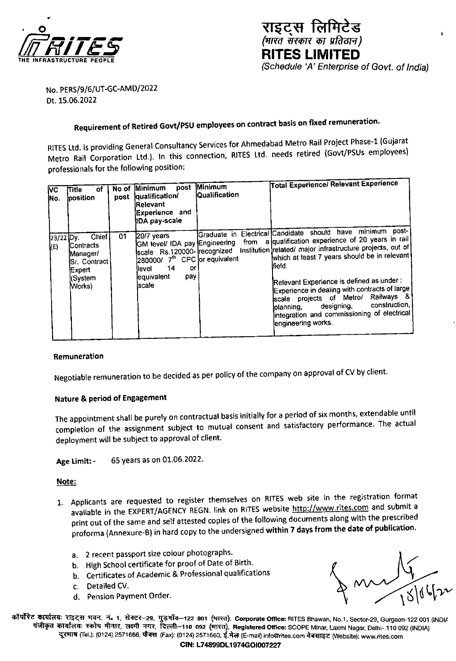



No. PERS/9/6/UT-GC-AMD/2022 Dt. 15.06.2022

# Requirement of Retired Govt/PSU employees on contract basis on fixed remuneration.

RITES Ltd. is providing General Consultancy Services for Ahmedabad Metro Rail Project Phase-1 (Gujarat Metro Rail Corporation Ltd.). In this connection, RITES Ltd. needs retired (Govt/PSUs employees) professionals for the following position:

| VC<br>lNo.       | οf<br>Title :<br>position                                                                     | post | No of Minimum<br>qualification/<br>Relevant<br>Experience and<br><b>IDA pay-scale</b>                                                                                           | post Minimum<br><b>Qualification</b> | <b>Total Experience/ Relevant Experience</b>                                                                                                                                                                                                                                                                                                                                                                                                                                                        |
|------------------|-----------------------------------------------------------------------------------------------|------|---------------------------------------------------------------------------------------------------------------------------------------------------------------------------------|--------------------------------------|-----------------------------------------------------------------------------------------------------------------------------------------------------------------------------------------------------------------------------------------------------------------------------------------------------------------------------------------------------------------------------------------------------------------------------------------------------------------------------------------------------|
| 23/22 Dy.<br>(E) | Chief<br><b>Contracts</b><br>Manager/<br>ISr. Contract<br><b>IExpert</b><br>(System<br>(Works | 01   | $20/7$ vears<br>GM level/ IDA pay Engineering<br>scate Rs.120000- recognized<br>280000/ 7 <sup>th</sup> CPC or equivalent<br>14<br>or<br>llevel<br>lequivalent<br>pay<br>lscale |                                      | Graduate in Electrical Candidate should have minimum post-<br>from a qualification experience of 20 years in rail<br>Institution related/ major infrastructure projects, out of<br>which at least 7 years should be in relevant<br>lfield.<br>Relevant Experience is defined as under :<br>Experience in dealing with contracts of large<br>scale projects of Metro/ Railways &<br>construction,<br>designing,<br>lolanning.<br>lintegration and commissioning of electrical<br>lengineering works. |

#### Remuneration

Negotiable remuneration to be decided as per policy of the company on approval of CV by client.

## Nature & period of Engagement

The appointment shall be purely on contractual basis initially for a period of six months, extendable until completion of the assignment subject to mutual consent and satisfactory performance. The actual deployment will be subject to approval of client.

65 years as on 01.06.2022. Age Limit: -

Note:

- 1. Applicants are requested to register themselves on RITES web site in the registration format available in the EXPERT/AGENCY REGN. link on RITES website http://www.rites.com and submit a print out of the same and self attested copies of the following documents along with the prescribed proforma (Annexure-B) in hard copy to the undersigned within 7 days from the date of publication.
	- a. 2 recent passport size colour photographs.
	- b. High School certificate for proof of Date of Birth.
	- b. Certificates of Academic & Professional qualifications
	- c. Detailed CV.
	- d. Pension Payment Order.

 $\bigcup_{\text{oldIs}}$ 

कॉर्पोरेट कार्यालयः राइट्स मवन, नं. 1, सेक्टर–29, गुड़गाँव–122 001 (भारत), Corporate Office: RITES Bhawan, No.1, Sector-29, Gurgaon-122 001 (INDI/ पंजीकृत कार्यालयः स्कोप मीनार, लक्ष्मी नगर, दिल्ली–110 092 (मारत), Registered Office: SCOPE Minar, Laxmi Nagar, Delhi- 110 092 (INDIA) दूरमाष (Tel.): (0124) 2571666, फैक्स (Fax): (0124) 2571660, ई.मेल (E-mail) info@rites.com वेबसाइट (Website): www.rites.com

CIN: L74899DL1974GOI007227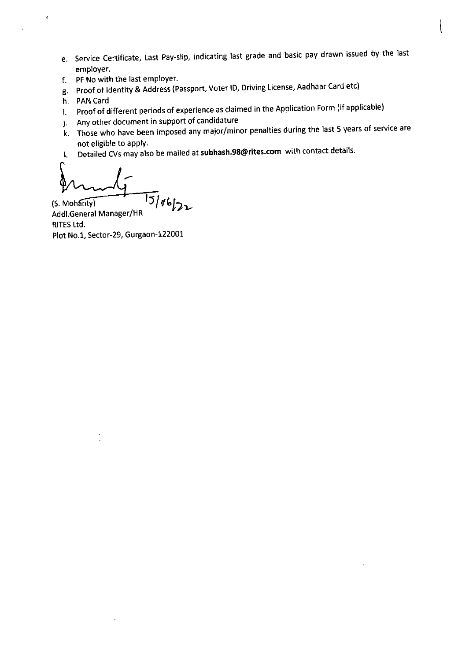- e. Service Certificate, Last Pay-slip, indicating last grade and basic pay drawn issued by the last employer.
- f. PF No with the last employer.
- g. Proof of Identity & Address (Passport, Voter ID, Driving License, Aadhaar Card etc)
- h. PAN Card

 $\epsilon$ 

- i. Proof of different periods of experience as claimed in the Application Form (if applicable)
- j. Any other document in support of candidature
- k. Those who have been imposed any major/minor penalties during the last 5 years of service are not eligible to apply.
- I. Detailed CV5 may also be mailed at subhash.98@riteS.COm with contact details.

 $\frac{15}{106}$ Addl.General Manager/HR RITES Ltd. Plot No.1, Sector-29, Gurgaon-122001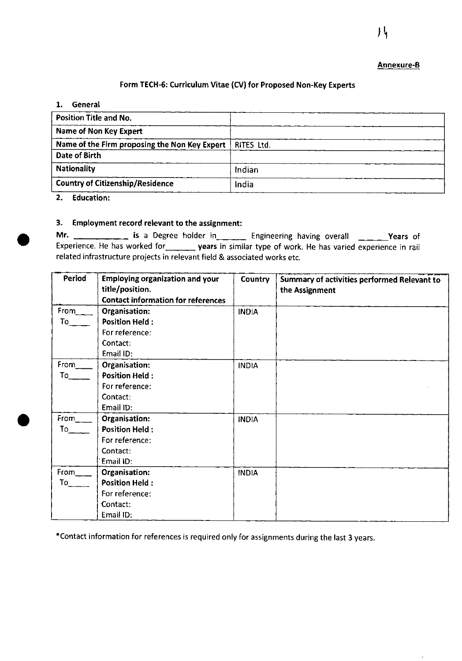#### Annexure-B

#### Form TECH-6: Curriculum Vitae (CV) for Proposed Non-Key Experts

#### 1. General

| Position Title and No.                        |            |
|-----------------------------------------------|------------|
| Name of Non Key Expert                        |            |
| Name of the Firm proposing the Non Key Expert | RITES Ltd. |
| Date of Birth                                 |            |
| <b>Nationality</b>                            | Indian     |
| <b>Country of Citizenship/Residence</b>       | India      |
| . .                                           |            |

2. Education:

 $\bullet$ 

### 3. Employment record relevant to the assignment:

Mr. \_\_\_\_\_\_\_\_\_\_\_\_\_\_ is a Degree holder in\_\_\_\_\_\_\_\_ Engineering having overall \_\_\_\_\_\_Years of Experience. He has worked for years in similar type of work. He has varied experience in rail related infrastructure projects in relevant field & associated works etc.

| Period                      | <b>Employing organization and your</b><br>title/position.<br><b>Contact information for references</b> | <b>Country</b> | Summary of activities performed Relevant to<br>the Assignment |
|-----------------------------|--------------------------------------------------------------------------------------------------------|----------------|---------------------------------------------------------------|
| From                        | Organisation:                                                                                          | <b>INDIA</b>   |                                                               |
|                             | <b>Position Held:</b>                                                                                  |                |                                                               |
|                             | For reference:                                                                                         |                |                                                               |
|                             | Contact:                                                                                               |                |                                                               |
|                             | Email ID:                                                                                              |                |                                                               |
| From_                       | Organisation:                                                                                          | <b>INDIA</b>   |                                                               |
| To                          | <b>Position Held:</b>                                                                                  |                |                                                               |
|                             | For reference:                                                                                         |                |                                                               |
|                             | Contact:                                                                                               |                |                                                               |
|                             | Email ID:                                                                                              |                |                                                               |
| $From$                      | Organisation:                                                                                          | <b>INDIA</b>   |                                                               |
| To $\overline{\phantom{a}}$ | <b>Position Held:</b>                                                                                  |                |                                                               |
|                             | For reference:                                                                                         |                |                                                               |
|                             | Contact:                                                                                               |                |                                                               |
|                             | Email ID:                                                                                              |                |                                                               |
| $From$ <sub>__</sub>        | Organisation:                                                                                          | <b>INDIA</b>   |                                                               |
|                             | <b>Position Held:</b>                                                                                  |                |                                                               |
|                             | For reference:                                                                                         |                |                                                               |
|                             | Contact:                                                                                               |                |                                                               |
|                             | Email ID:                                                                                              |                |                                                               |

\*Contact information for references is required only for assignments during the last 3 years.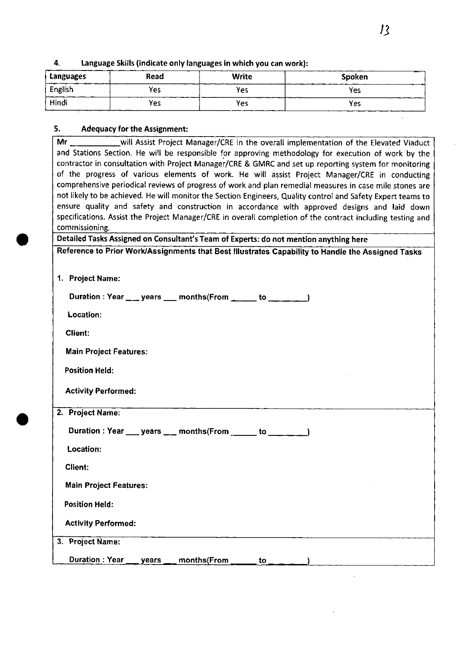| Languages | Read | <b>Write</b> | Spoken |
|-----------|------|--------------|--------|
| English   | Yes  | <b>Yes</b>   | Yes    |
| Hindi     | Yes  | Yes          | Yes    |

# 4. language Skills (indicate only languages in which you can work):

# S. Adequacy for the Assignment:

.

| and Stations Section. He will be responsible for approving methodology for execution of work by the          |  |  |  |  |
|--------------------------------------------------------------------------------------------------------------|--|--|--|--|
| contractor in consultation with Project Manager/CRE & GMRC and set up reporting system for monitoring        |  |  |  |  |
| of the progress of various elements of work. He will assist Project Manager/CRE in conducting                |  |  |  |  |
| comprehensive periodical reviews of progress of work and plan remedial measures in case mile stones are      |  |  |  |  |
| not likely to be achieved. He will monitor the Section Engineers, Quality control and Safety Expert teams to |  |  |  |  |
| ensure quality and safety and construction in accordance with approved designs and laid down                 |  |  |  |  |
| specifications. Assist the Project Manager/CRE in overall completion of the contract including testing and   |  |  |  |  |
| commissioning.                                                                                               |  |  |  |  |
| Detailed Tasks Assigned on Consultant's Team of Experts: do not mention anything here                        |  |  |  |  |
| Reference to Prior Work/Assignments that Best Illustrates Capability to Handle the Assigned Tasks            |  |  |  |  |
|                                                                                                              |  |  |  |  |
|                                                                                                              |  |  |  |  |
| 1. Project Name:                                                                                             |  |  |  |  |
| Duration : Year ___ years ___ months(From _____ to ___ __ _)                                                 |  |  |  |  |
| <b>Location:</b>                                                                                             |  |  |  |  |
|                                                                                                              |  |  |  |  |
| Client:                                                                                                      |  |  |  |  |
| <b>Main Project Features:</b>                                                                                |  |  |  |  |
| <b>Position Held:</b>                                                                                        |  |  |  |  |
|                                                                                                              |  |  |  |  |
| <b>Activity Performed:</b>                                                                                   |  |  |  |  |
| 2. Project Name:                                                                                             |  |  |  |  |
|                                                                                                              |  |  |  |  |
| Duration : Year ___ years ___ months(From _____ to _______)                                                  |  |  |  |  |
| <b>Location:</b>                                                                                             |  |  |  |  |
| <b>Client:</b>                                                                                               |  |  |  |  |
| <b>Main Project Features:</b>                                                                                |  |  |  |  |
|                                                                                                              |  |  |  |  |
| <b>Position Held:</b>                                                                                        |  |  |  |  |
| <b>Activity Performed:</b>                                                                                   |  |  |  |  |
| 3. Project Name:                                                                                             |  |  |  |  |
| <b>Duration: Year</b><br>years<br>months(From<br>to j                                                        |  |  |  |  |
|                                                                                                              |  |  |  |  |

 $\bar{z}$ 

 $\Delta$ 

J.

 $\overline{\phantom{a}}$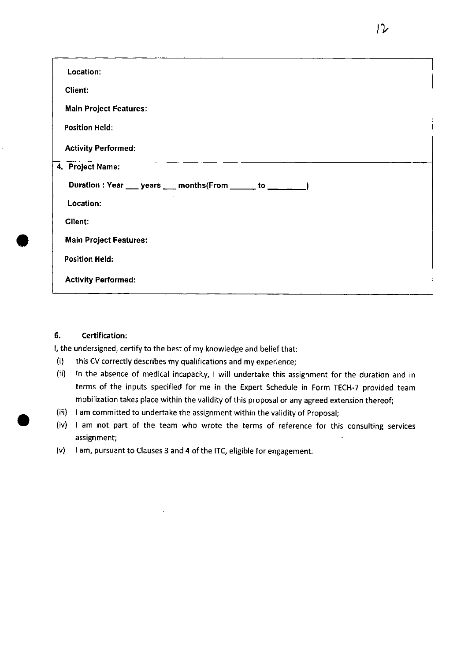| Location:                                                 |
|-----------------------------------------------------------|
| Client:                                                   |
| <b>Main Project Features:</b>                             |
| <b>Position Held:</b>                                     |
| <b>Activity Performed:</b>                                |
| 4. Project Name:                                          |
| Duration : Year ___ years ___ months(From _____ to ___ __ |
| Location:                                                 |
| Client:                                                   |
| <b>Main Project Features:</b>                             |
| <b>Position Held:</b>                                     |
| <b>Activity Performed:</b>                                |

### 6. Certification:

I, the undersigned, certify to the best of my knowledge and belief that:

- (i) this CV correctly describes my qualifications and my experience;
- (ii) In the absence of medical incapacity, I will undertake this assignment for the duration and in terms of the inputs specified for me in the Expert Schedule in Form TECH-7 provided team mobilization takes place within the validity of this proposal or any agreed extension thereof;
- (iii) I am committed to undertake the assignment within the validity of Proposal;
- (iv) I am not part of the team who wrote the terms of reference for this consulting services assignment;
- (v) I am, pursuant to Clauses 3 and 4 of the ITC, eligible for engagement.